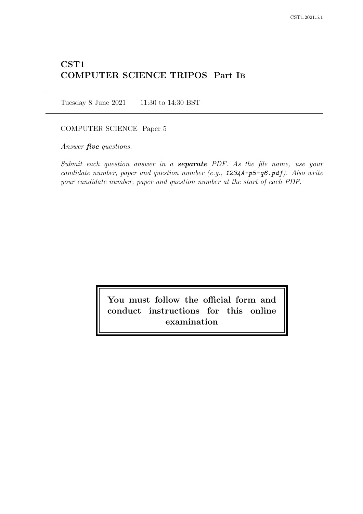# CST1 COMPUTER SCIENCE TRIPOS Part IB

Tuesday 8 June 2021 11:30 to 14:30 BST

### COMPUTER SCIENCE Paper 5

Answer *five* questions.

Submit each question answer in a **separate** PDF. As the file name, use your candidate number, paper and question number (e.g.,  $1234A-p5-q6 \cdot pdf$ ). Also write your candidate number, paper and question number at the start of each PDF.

> You must follow the official form and conduct instructions for this online examination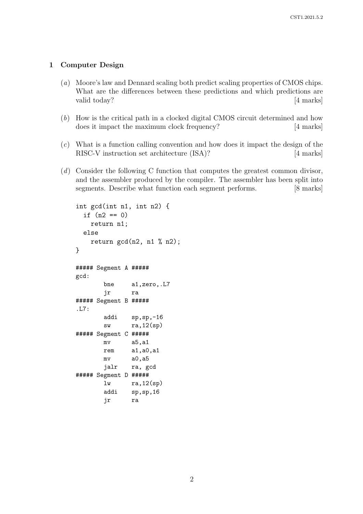#### 1 Computer Design

- (a) Moore's law and Dennard scaling both predict scaling properties of CMOS chips. What are the differences between these predictions and which predictions are valid today? [4 marks]
- (b) How is the critical path in a clocked digital CMOS circuit determined and how does it impact the maximum clock frequency? [4 marks]
- $(c)$  What is a function calling convention and how does it impact the design of the RISC-V instruction set architecture (ISA)? [4 marks]
- (d) Consider the following C function that computes the greatest common divisor, and the assembler produced by the compiler. The assembler has been split into segments. Describe what function each segment performs. [8 marks]

```
int gcd(int n1, int n2) {
  if (n2 == 0)return n1;
  else
   return gcd(n2, n1 % n2);}
##### Segment A #####
gcd:
       bne a1,zero,.L7
       jr ra
##### Segment B #####
.L7:
       addi sp,sp,-16
       sw ra,12(sp)
##### Segment C #####
       mv a5,a1
       rem a1,a0,a1
       mv a0,a5
       jalr ra, gcd
##### Segment D #####
       lw ra,12(sp)
       addi sp,sp,16
       jr ra
```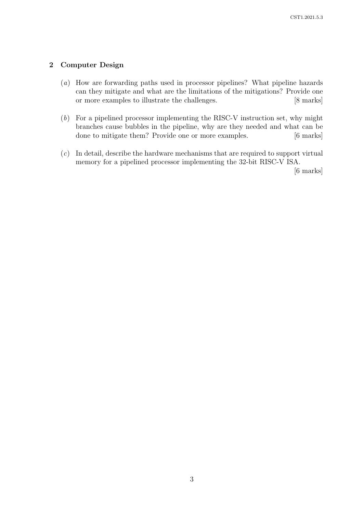## 2 Computer Design

- (a) How are forwarding paths used in processor pipelines? What pipeline hazards can they mitigate and what are the limitations of the mitigations? Provide one or more examples to illustrate the challenges. [8 marks]
- (b) For a pipelined processor implementing the RISC-V instruction set, why might branches cause bubbles in the pipeline, why are they needed and what can be done to mitigate them? Provide one or more examples. [6 marks]
- (c) In detail, describe the hardware mechanisms that are required to support virtual memory for a pipelined processor implementing the 32-bit RISC-V ISA.

[6 marks]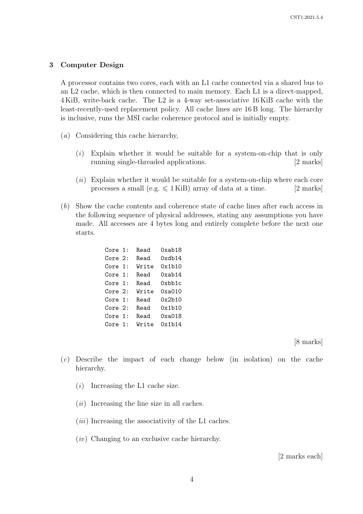#### 3 Computer Design

A processor contains two cores, each with an L1 cache connected via a shared bus to an L2 cache, which is then connected to main memory. Each L1 is a direct-mapped, 4 KiB, write-back cache. The L2 is a 4-way set-associative 16 KiB cache with the least-recently-used replacement policy. All cache lines are 16 B long. The hierarchy is inclusive, runs the MSI cache coherence protocol and is initially empty.

- (a) Considering this cache hierarchy,
	- $(i)$  Explain whether it would be suitable for a system-on-chip that is only running single-threaded applications. [2 marks]
	- $(ii)$  Explain whether it would be suitable for a system-on-chip where each core processes a small (e.g.  $\leq 1$  KiB) array of data at a time. [2 marks]
- (b) Show the cache contents and coherence state of cache lines after each access in the following sequence of physical addresses, stating any assumptions you have made. All accesses are 4 bytes long and entirely complete before the next one starts.

| Core 1: | Read  | 0xab18 |
|---------|-------|--------|
| Core 2: | Read  | 0xdb14 |
| Core 1: | Write | 0x1b10 |
| Core 1: | Read  | 0xab14 |
| Core 1: | Read  | 0xbb1c |
| Core 2: | Write | 0xa010 |
| Core 1: | Read  | 0x2b10 |
| Core 2: | Read  | 0x1b10 |
| Core 1: | Read  | 0xa018 |
| Core 1: | Write | 0x1b14 |

[8 marks]

- (c) Describe the impact of each change below (in isolation) on the cache hierarchy.
	- $(i)$  Increasing the L1 cache size.
	- $(ii)$  Increasing the line size in all caches.
	- $(iii)$  Increasing the associativity of the L1 caches.
	- (iv) Changing to an exclusive cache hierarchy.

[2 marks each]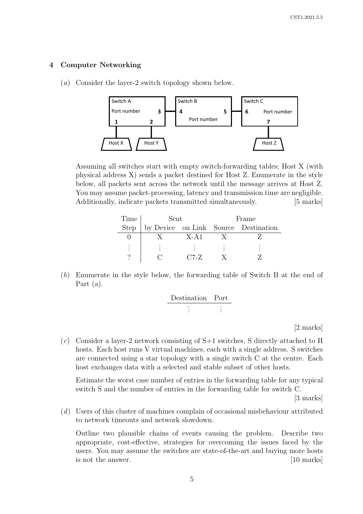#### 4 Computer Networking

(a) Consider the layer-2 switch topology shown below.



Assuming all switches start with empty switch-forwarding tables; Host X (with physical address X) sends a packet destined for Host Z. Enumerate in the style below, all packets sent across the network until the message arrives at Host Z. You may assume packet-processing, latency and transmission time are negligible. Additionally, indicate packets transmitted simultaneously. [5 marks]

| Time        | Sent |          | Frame |                                      |  |
|-------------|------|----------|-------|--------------------------------------|--|
| <b>Step</b> |      |          |       | by Device on Link Source Destination |  |
|             |      | $X - A1$ |       |                                      |  |
|             |      |          |       |                                      |  |
|             |      | $C7-Z$   |       |                                      |  |

(b) Enumerate in the style below, the forwarding table of Switch B at the end of Part (a).

| Destination Port |  |  |
|------------------|--|--|
|                  |  |  |
|                  |  |  |
|                  |  |  |
|                  |  |  |

[2 marks]

(c) Consider a layer-2 network consisting of S+1 switches, S directly attached to H hosts. Each host runs V virtual machines, each with a single address. S switches are connected using a star topology with a single switch C at the centre. Each host exchanges data with a selected and stable subset of other hosts.

Estimate the worst case number of entries in the forwarding table for any typical switch S and the number of entries in the forwarding table for switch C.

[3 marks]

(d) Users of this cluster of machines complain of occasional misbehaviour attributed to network timeouts and network slowdown.

Outline two plausible chains of events causing the problem. Describe two appropriate, cost-effective, strategies for overcoming the issues faced by the users. You may assume the switches are state-of-the-art and buying more hosts is not the answer. [10 marks]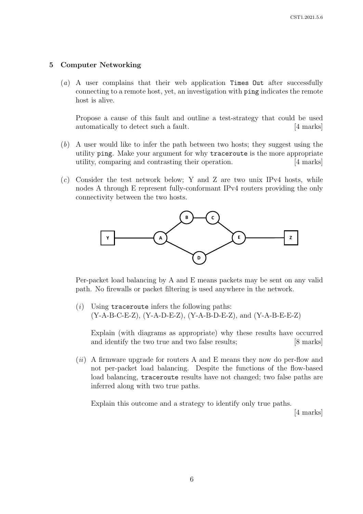#### 5 Computer Networking

(a) A user complains that their web application Times Out after successfully connecting to a remote host, yet, an investigation with ping indicates the remote host is alive.

Propose a cause of this fault and outline a test-strategy that could be used automatically to detect such a fault. [4 marks]

- (b) A user would like to infer the path between two hosts; they suggest using the utility ping. Make your argument for why traceroute is the more appropriate utility, comparing and contrasting their operation. [4 marks]
- (c) Consider the test network below; Y and Z are two unix IPv4 hosts, while nodes A through E represent fully-conformant IPv4 routers providing the only connectivity between the two hosts.



Per-packet load balancing by A and E means packets may be sent on any valid path. No firewalls or packet filtering is used anywhere in the network.

 $(i)$  Using traceroute infers the following paths: (Y-A-B-C-E-Z), (Y-A-D-E-Z), (Y-A-B-D-E-Z), and (Y-A-B-E-E-Z)

Explain (with diagrams as appropriate) why these results have occurred and identify the two true and two false results; [8 marks]

(*ii*) A firmware upgrade for routers A and E means they now do per-flow and not per-packet load balancing. Despite the functions of the flow-based load balancing, traceroute results have not changed; two false paths are inferred along with two true paths.

Explain this outcome and a strategy to identify only true paths.

[4 marks]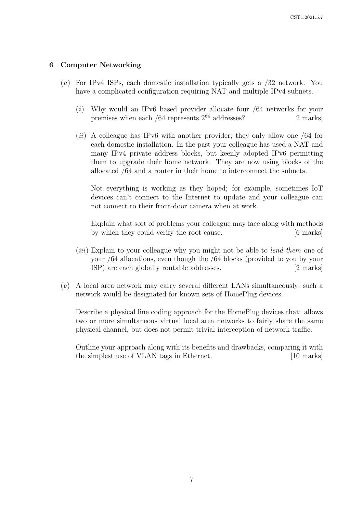## 6 Computer Networking

- (a) For IPv4 ISPs, each domestic installation typically gets a /32 network. You have a complicated configuration requiring NAT and multiple IPv4 subnets.
	- (i) Why would an IPv6 based provider allocate four /64 networks for your premises when each  $/64$  represents  $2^{64}$  addresses? [2 marks]
	- $(ii)$  A colleague has IPv6 with another provider; they only allow one /64 for each domestic installation. In the past your colleague has used a NAT and many IPv4 private address blocks, but keenly adopted IPv6 permitting them to upgrade their home network. They are now using blocks of the allocated /64 and a router in their home to interconnect the subnets.

Not everything is working as they hoped; for example, sometimes IoT devices can't connect to the Internet to update and your colleague can not connect to their front-door camera when at work.

Explain what sort of problems your colleague may face along with methods by which they could verify the root cause. [6 marks]

- (*iii*) Explain to your colleague why you might not be able to *lend them* one of your /64 allocations, even though the /64 blocks (provided to you by your ISP) are each globally routable addresses. [2 marks]
- (b) A local area network may carry several different LANs simultaneously; such a network would be designated for known sets of HomePlug devices.

Describe a physical line coding approach for the HomePlug devices that: allows two or more simultaneous virtual local area networks to fairly share the same physical channel, but does not permit trivial interception of network traffic.

Outline your approach along with its benefits and drawbacks, comparing it with the simplest use of VLAN tags in Ethernet. [10 marks]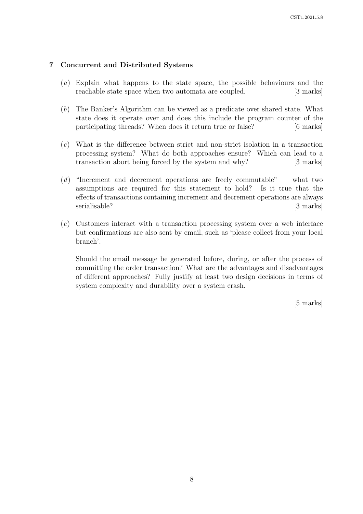## 7 Concurrent and Distributed Systems

- (a) Explain what happens to the state space, the possible behaviours and the reachable state space when two automata are coupled. [3 marks]
- (b) The Banker's Algorithm can be viewed as a predicate over shared state. What state does it operate over and does this include the program counter of the participating threads? When does it return true or false? [6 marks]
- (c) What is the difference between strict and non-strict isolation in a transaction processing system? What do both approaches ensure? Which can lead to a transaction abort being forced by the system and why? [3 marks]
- (d) "Increment and decrement operations are freely commutable" what two assumptions are required for this statement to hold? Is it true that the effects of transactions containing increment and decrement operations are always serialisable? [3 marks]
- (e) Customers interact with a transaction processing system over a web interface but confirmations are also sent by email, such as 'please collect from your local branch'.

Should the email message be generated before, during, or after the process of committing the order transaction? What are the advantages and disadvantages of different approaches? Fully justify at least two design decisions in terms of system complexity and durability over a system crash.

[5 marks]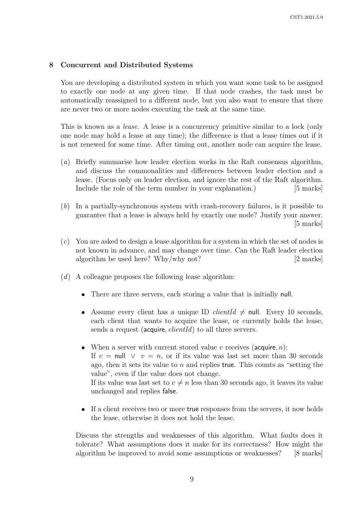#### 8 Concurrent and Distributed Systems

You are developing a distributed system in which you want some task to be assigned to exactly one node at any given time. If that node crashes, the task must be automatically reassigned to a different node, but you also want to ensure that there are never two or more nodes executing the task at the same time.

This is known as a *lease*. A lease is a concurrency primitive similar to a lock (only one node may hold a lease at any time); the difference is that a lease times out if it is not renewed for some time. After timing out, another node can acquire the lease.

- (a) Briefly summarise how leader election works in the Raft consensus algorithm, and discuss the commonalities and differences between leader election and a lease. (Focus only on leader election, and ignore the rest of the Raft algorithm. Include the role of the term number in your explanation.) [5 marks]
- (b) In a partially-synchronous system with crash-recovery failures, is it possible to guarantee that a lease is always held by exactly one node? Justify your answer. [5 marks]
- (c) You are asked to design a lease algorithm for a system in which the set of nodes is not known in advance, and may change over time. Can the Raft leader election algorithm be used here? Why/why not? [2 marks]
- (d) A colleague proposes the following lease algorithm:
	- There are three servers, each storing a value that is initially null.
	- Assume every client has a unique ID *clientId*  $\neq$  null. Every 10 seconds, each client that wants to acquire the lease, or currently holds the lease, sends a request (acquire, *clientId*) to all three servers.
	- When a server with current stored value  $v$  receives (acquire,  $n$ ): If  $v = \text{null} \quad \lor \quad v = n$ , or if its value was last set more than 30 seconds ago, then it sets its value to  $n$  and replies true. This counts as "setting the value", even if the value does not change. If its value was last set to  $v \neq n$  less than 30 seconds ago, it leaves its value unchanged and replies false.
	- $\bullet$  If a client receives two or more true responses from the servers, it now holds the lease, otherwise it does not hold the lease.

Discuss the strengths and weaknesses of this algorithm. What faults does it tolerate? What assumptions does it make for its correctness? How might the algorithm be improved to avoid some assumptions or weaknesses? [8 marks]